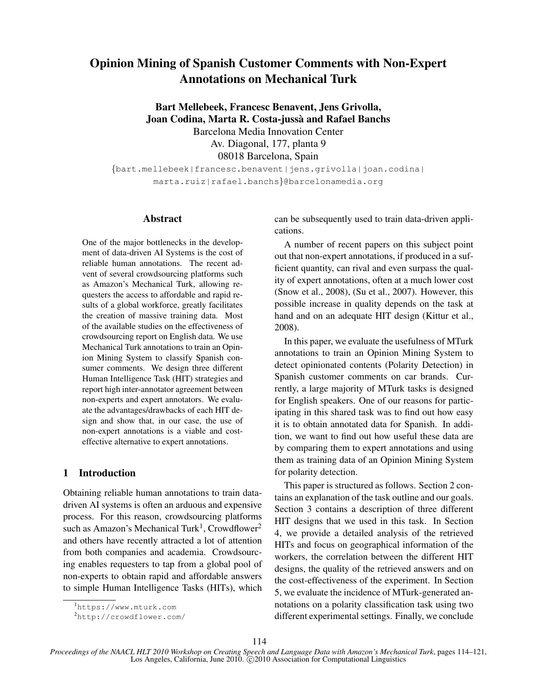# Opinion Mining of Spanish Customer Comments with Non-Expert Annotations on Mechanical Turk

Bart Mellebeek, Francesc Benavent, Jens Grivolla, Joan Codina, Marta R. Costa-jussa and Rafael Banchs ` Barcelona Media Innovation Center Av. Diagonal, 177, planta 9 08018 Barcelona, Spain

{bart.mellebeek|francesc.benavent|jens.grivolla|joan.codina| marta.ruiz|rafael.banchs}@barcelonamedia.org

### Abstract

One of the major bottlenecks in the development of data-driven AI Systems is the cost of reliable human annotations. The recent advent of several crowdsourcing platforms such as Amazon's Mechanical Turk, allowing requesters the access to affordable and rapid results of a global workforce, greatly facilitates the creation of massive training data. Most of the available studies on the effectiveness of crowdsourcing report on English data. We use Mechanical Turk annotations to train an Opinion Mining System to classify Spanish consumer comments. We design three different Human Intelligence Task (HIT) strategies and report high inter-annotator agreement between non-experts and expert annotators. We evaluate the advantages/drawbacks of each HIT design and show that, in our case, the use of non-expert annotations is a viable and costeffective alternative to expert annotations.

# 1 Introduction

Obtaining reliable human annotations to train datadriven AI systems is often an arduous and expensive process. For this reason, crowdsourcing platforms such as Amazon's Mechanical Turk<sup>1</sup>, Crowdflower<sup>2</sup> and others have recently attracted a lot of attention from both companies and academia. Crowdsourcing enables requesters to tap from a global pool of non-experts to obtain rapid and affordable answers to simple Human Intelligence Tasks (HITs), which can be subsequently used to train data-driven applications.

A number of recent papers on this subject point out that non-expert annotations, if produced in a sufficient quantity, can rival and even surpass the quality of expert annotations, often at a much lower cost (Snow et al., 2008), (Su et al., 2007). However, this possible increase in quality depends on the task at hand and on an adequate HIT design (Kittur et al., 2008).

In this paper, we evaluate the usefulness of MTurk annotations to train an Opinion Mining System to detect opinionated contents (Polarity Detection) in Spanish customer comments on car brands. Currently, a large majority of MTurk tasks is designed for English speakers. One of our reasons for participating in this shared task was to find out how easy it is to obtain annotated data for Spanish. In addition, we want to find out how useful these data are by comparing them to expert annotations and using them as training data of an Opinion Mining System for polarity detection.

This paper is structured as follows. Section 2 contains an explanation of the task outline and our goals. Section 3 contains a description of three different HIT designs that we used in this task. In Section 4, we provide a detailed analysis of the retrieved HITs and focus on geographical information of the workers, the correlation between the different HIT designs, the quality of the retrieved answers and on the cost-effectiveness of the experiment. In Section 5, we evaluate the incidence of MTurk-generated annotations on a polarity classification task using two different experimental settings. Finally, we conclude

<sup>1</sup>https://www.mturk.com

<sup>2</sup>http://crowdflower.com/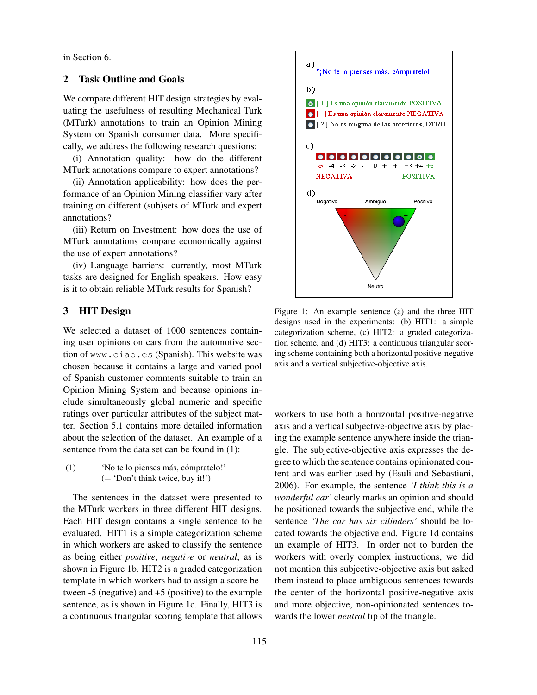in Section 6.

## 2 Task Outline and Goals

We compare different HIT design strategies by evaluating the usefulness of resulting Mechanical Turk (MTurk) annotations to train an Opinion Mining System on Spanish consumer data. More specifically, we address the following research questions:

(i) Annotation quality: how do the different MTurk annotations compare to expert annotations?

(ii) Annotation applicability: how does the performance of an Opinion Mining classifier vary after training on different (sub)sets of MTurk and expert annotations?

(iii) Return on Investment: how does the use of MTurk annotations compare economically against the use of expert annotations?

(iv) Language barriers: currently, most MTurk tasks are designed for English speakers. How easy is it to obtain reliable MTurk results for Spanish?

# 3 HIT Design

We selected a dataset of 1000 sentences containing user opinions on cars from the automotive section of www.ciao.es (Spanish). This website was chosen because it contains a large and varied pool of Spanish customer comments suitable to train an Opinion Mining System and because opinions include simultaneously global numeric and specific ratings over particular attributes of the subject matter. Section 5.1 contains more detailed information about the selection of the dataset. An example of a sentence from the data set can be found in (1):

 $(1)$  'No te lo pienses más, cómpratelo!' (= 'Don't think twice, buy it!')

The sentences in the dataset were presented to the MTurk workers in three different HIT designs. Each HIT design contains a single sentence to be evaluated. HIT1 is a simple categorization scheme in which workers are asked to classify the sentence as being either *positive*, *negative* or *neutral*, as is shown in Figure 1b. HIT2 is a graded categorization template in which workers had to assign a score between -5 (negative) and +5 (positive) to the example sentence, as is shown in Figure 1c. Finally, HIT3 is a continuous triangular scoring template that allows



Figure 1: An example sentence (a) and the three HIT designs used in the experiments: (b) HIT1: a simple categorization scheme, (c) HIT2: a graded categorization scheme, and (d) HIT3: a continuous triangular scoring scheme containing both a horizontal positive-negative axis and a vertical subjective-objective axis.

workers to use both a horizontal positive-negative axis and a vertical subjective-objective axis by placing the example sentence anywhere inside the triangle. The subjective-objective axis expresses the degree to which the sentence contains opinionated content and was earlier used by (Esuli and Sebastiani, 2006). For example, the sentence *'I think this is a wonderful car'* clearly marks an opinion and should be positioned towards the subjective end, while the sentence *'The car has six cilinders'* should be located towards the objective end. Figure 1d contains an example of HIT3. In order not to burden the workers with overly complex instructions, we did not mention this subjective-objective axis but asked them instead to place ambiguous sentences towards the center of the horizontal positive-negative axis and more objective, non-opinionated sentences towards the lower *neutral* tip of the triangle.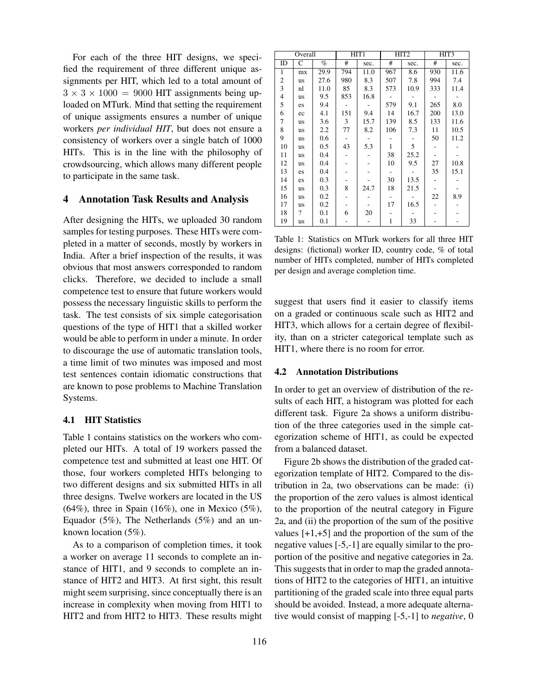For each of the three HIT designs, we specified the requirement of three different unique assignments per HIT, which led to a total amount of  $3 \times 3 \times 1000 = 9000$  HIT assignments being uploaded on MTurk. Mind that setting the requirement of unique assigments ensures a number of unique workers *per individual HIT*, but does not ensure a consistency of workers over a single batch of 1000 HITs. This is in the line with the philosophy of crowdsourcing, which allows many different people to participate in the same task.

#### 4 Annotation Task Results and Analysis

After designing the HITs, we uploaded 30 random samples for testing purposes. These HITs were completed in a matter of seconds, mostly by workers in India. After a brief inspection of the results, it was obvious that most answers corresponded to random clicks. Therefore, we decided to include a small competence test to ensure that future workers would possess the necessary linguistic skills to perform the task. The test consists of six simple categorisation questions of the type of HIT1 that a skilled worker would be able to perform in under a minute. In order to discourage the use of automatic translation tools, a time limit of two minutes was imposed and most test sentences contain idiomatic constructions that are known to pose problems to Machine Translation Systems.

#### 4.1 HIT Statistics

Table 1 contains statistics on the workers who completed our HITs. A total of 19 workers passed the competence test and submitted at least one HIT. Of those, four workers completed HITs belonging to two different designs and six submitted HITs in all three designs. Twelve workers are located in the US  $(64\%)$ , three in Spain  $(16\%)$ , one in Mexico  $(5\%)$ , Equador (5%), The Netherlands (5%) and an unknown location (5%).

As to a comparison of completion times, it took a worker on average 11 seconds to complete an instance of HIT1, and 9 seconds to complete an instance of HIT2 and HIT3. At first sight, this result might seem surprising, since conceptually there is an increase in complexity when moving from HIT1 to HIT2 and from HIT2 to HIT3. These results might

| Overall                 |                |      | HIT <sub>1</sub> |        | HIT <sub>2</sub>         |                          | HIT3 |      |
|-------------------------|----------------|------|------------------|--------|--------------------------|--------------------------|------|------|
| ID                      | C              | $\%$ | #                | sec.   | #                        | sec.                     | #    | sec. |
| $\mathbf{1}$            | mx             | 29.9 | 794              | 11.0   | 967                      | 8.6                      | 930  | 11.6 |
| $\boldsymbol{2}$        | us             | 27.6 | 980              | 8.3    | 507                      | 7.8                      | 994  | 7.4  |
| 3                       | nl             | 11.0 | 85               | 8.3    | 573                      | 10.9                     | 333  | 11.4 |
| $\overline{\mathbf{4}}$ | us             | 9.5  | 853              | 16.8   |                          |                          |      |      |
| 5                       | es             | 9.4  |                  | $\sim$ | 579                      | 9.1                      | 265  | 8.0  |
| 6                       | ec             | 4.1  | 151              | 9.4    | 14                       | 16.7                     | 200  | 13.0 |
| 7                       | us             | 3.6  | 3                | 15.7   | 139                      | 8.5                      | 133  | 11.6 |
| 8                       | us             | 2.2  | 77               | 8.2    | 106                      | 7.3                      | 11   | 10.5 |
| 9                       | us             | 0.6  |                  | $\sim$ |                          | $\overline{\phantom{a}}$ | 50   | 11.2 |
| 10                      | us             | 0.5  | 43               | 5.3    | $\mathbf{1}$             | 5                        |      |      |
| 11                      | us             | 0.4  |                  |        | 38                       | 25.2                     |      |      |
| 12                      | us             | 0.4  |                  |        | 10                       | 9.5                      | 27   | 10.8 |
| 13                      | es             | 0.4  |                  |        | $\overline{\phantom{a}}$ |                          | 35   | 15.1 |
| 14                      | es             | 0.3  |                  |        | 30                       | 13.5                     |      |      |
| 15                      | us             | 0.3  | 8                | 24.7   | 18                       | 21.5                     |      |      |
| 16                      | us             | 0.2  |                  |        |                          |                          | 22   | 8.9  |
| 17                      | us             | 0.2  |                  |        | 17                       | 16.5                     |      |      |
| 18                      | $\overline{?}$ | 0.1  | 6                | 20     |                          |                          |      |      |
| 19                      | us             | 0.1  |                  |        | 1                        | 33                       |      |      |

Table 1: Statistics on MTurk workers for all three HIT designs: (fictional) worker ID, country code, % of total number of HITs completed, number of HITs completed per design and average completion time.

suggest that users find it easier to classify items on a graded or continuous scale such as HIT2 and HIT3, which allows for a certain degree of flexibility, than on a stricter categorical template such as HIT1, where there is no room for error.

#### 4.2 Annotation Distributions

In order to get an overview of distribution of the results of each HIT, a histogram was plotted for each different task. Figure 2a shows a uniform distribution of the three categories used in the simple categorization scheme of HIT1, as could be expected from a balanced dataset.

Figure 2b shows the distribution of the graded categorization template of HIT2. Compared to the distribution in 2a, two observations can be made: (i) the proportion of the zero values is almost identical to the proportion of the neutral category in Figure 2a, and (ii) the proportion of the sum of the positive values [+1,+5] and the proportion of the sum of the negative values [-5,-1] are equally similar to the proportion of the positive and negative categories in 2a. This suggests that in order to map the graded annotations of HIT2 to the categories of HIT1, an intuitive partitioning of the graded scale into three equal parts should be avoided. Instead, a more adequate alternative would consist of mapping [-5,-1] to *negative*, 0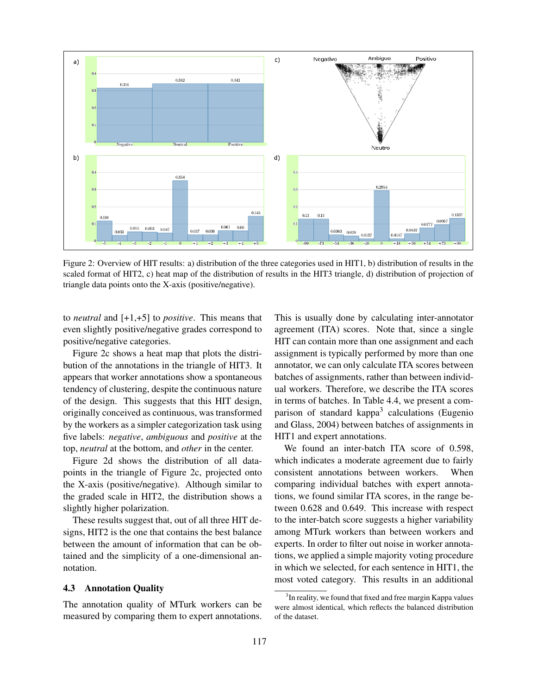

Figure 2: Overview of HIT results: a) distribution of the three categories used in HIT1, b) distribution of results in the scaled format of HIT2, c) heat map of the distribution of results in the HIT3 triangle, d) distribution of projection of triangle data points onto the X-axis (positive/negative).

to *neutral* and [+1,+5] to *positive*. This means that even slightly positive/negative grades correspond to positive/negative categories.

Figure 2c shows a heat map that plots the distribution of the annotations in the triangle of HIT3. It appears that worker annotations show a spontaneous tendency of clustering, despite the continuous nature of the design. This suggests that this HIT design, originally conceived as continuous, was transformed by the workers as a simpler categorization task using five labels: *negative*, *ambiguous* and *positive* at the top, *neutral* at the bottom, and *other* in the center.

Figure 2d shows the distribution of all datapoints in the triangle of Figure 2c, projected onto the X-axis (positive/negative). Although similar to the graded scale in HIT2, the distribution shows a slightly higher polarization.

These results suggest that, out of all three HIT designs, HIT2 is the one that contains the best balance between the amount of information that can be obtained and the simplicity of a one-dimensional annotation.

#### 4.3 Annotation Quality

The annotation quality of MTurk workers can be measured by comparing them to expert annotations. This is usually done by calculating inter-annotator agreement (ITA) scores. Note that, since a single HIT can contain more than one assignment and each assignment is typically performed by more than one annotator, we can only calculate ITA scores between batches of assignments, rather than between individual workers. Therefore, we describe the ITA scores in terms of batches. In Table 4.4, we present a comparison of standard kappa<sup>3</sup> calculations (Eugenio and Glass, 2004) between batches of assignments in HIT1 and expert annotations.

We found an inter-batch ITA score of 0.598, which indicates a moderate agreement due to fairly consistent annotations between workers. When comparing individual batches with expert annotations, we found similar ITA scores, in the range between 0.628 and 0.649. This increase with respect to the inter-batch score suggests a higher variability among MTurk workers than between workers and experts. In order to filter out noise in worker annotations, we applied a simple majority voting procedure in which we selected, for each sentence in HIT1, the most voted category. This results in an additional

<sup>&</sup>lt;sup>3</sup>In reality, we found that fixed and free margin Kappa values were almost identical, which reflects the balanced distribution of the dataset.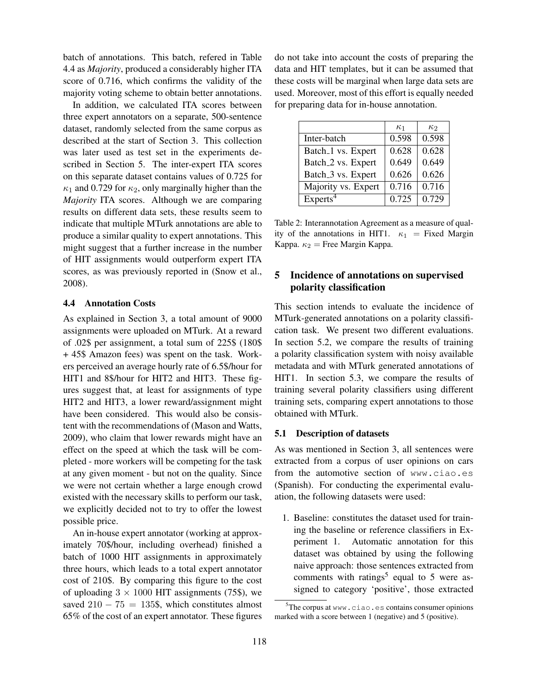batch of annotations. This batch, refered in Table 4.4 as *Majority*, produced a considerably higher ITA score of 0.716, which confirms the validity of the majority voting scheme to obtain better annotations.

In addition, we calculated ITA scores between three expert annotators on a separate, 500-sentence dataset, randomly selected from the same corpus as described at the start of Section 3. This collection was later used as test set in the experiments described in Section 5. The inter-expert ITA scores on this separate dataset contains values of 0.725 for  $\kappa_1$  and 0.729 for  $\kappa_2$ , only marginally higher than the *Majority* ITA scores. Although we are comparing results on different data sets, these results seem to indicate that multiple MTurk annotations are able to produce a similar quality to expert annotations. This might suggest that a further increase in the number of HIT assignments would outperform expert ITA scores, as was previously reported in (Snow et al., 2008).

#### 4.4 Annotation Costs

As explained in Section 3, a total amount of 9000 assignments were uploaded on MTurk. At a reward of .02\$ per assignment, a total sum of 225\$ (180\$ + 45\$ Amazon fees) was spent on the task. Workers perceived an average hourly rate of 6.5\$/hour for HIT1 and 8\$/hour for HIT2 and HIT3. These figures suggest that, at least for assignments of type HIT2 and HIT3, a lower reward/assignment might have been considered. This would also be consistent with the recommendations of (Mason and Watts, 2009), who claim that lower rewards might have an effect on the speed at which the task will be completed - more workers will be competing for the task at any given moment - but not on the quality. Since we were not certain whether a large enough crowd existed with the necessary skills to perform our task, we explicitly decided not to try to offer the lowest possible price.

An in-house expert annotator (working at approximately 70\$/hour, including overhead) finished a batch of 1000 HIT assignments in approximately three hours, which leads to a total expert annotator cost of 210\$. By comparing this figure to the cost of uploading  $3 \times 1000$  HIT assignments (75\$), we saved  $210 - 75 = 135$ \$, which constitutes almost 65% of the cost of an expert annotator. These figures do not take into account the costs of preparing the data and HIT templates, but it can be assumed that these costs will be marginal when large data sets are used. Moreover, most of this effort is equally needed for preparing data for in-house annotation.

|                                | $\kappa_1$ | $\kappa_2$ |
|--------------------------------|------------|------------|
| Inter-batch                    | 0.598      | 0.598      |
| Batch <sub>1</sub> vs. Expert  | 0.628      | 0.628      |
| Batch <sub>-2</sub> vs. Expert | 0.649      | 0.649      |
| Batch_3 vs. Expert             | 0.626      | 0.626      |
| Majority vs. Expert            | 0.716      | 0.716      |
| Express <sup>4</sup>           | 0.725      | 0.729      |

Table 2: Interannotation Agreement as a measure of quality of the annotations in HIT1.  $\kappa_1$  = Fixed Margin Kappa.  $\kappa_2$  = Free Margin Kappa.

# 5 Incidence of annotations on supervised polarity classification

This section intends to evaluate the incidence of MTurk-generated annotations on a polarity classification task. We present two different evaluations. In section 5.2, we compare the results of training a polarity classification system with noisy available metadata and with MTurk generated annotations of HIT1. In section 5.3, we compare the results of training several polarity classifiers using different training sets, comparing expert annotations to those obtained with MTurk.

#### 5.1 Description of datasets

As was mentioned in Section 3, all sentences were extracted from a corpus of user opinions on cars from the automotive section of www.ciao.es (Spanish). For conducting the experimental evaluation, the following datasets were used:

1. Baseline: constitutes the dataset used for training the baseline or reference classifiers in Experiment 1. Automatic annotation for this dataset was obtained by using the following naive approach: those sentences extracted from comments with ratings<sup>5</sup> equal to 5 were assigned to category 'positive', those extracted

 $5$ The corpus at www.ciao.es contains consumer opinions marked with a score between 1 (negative) and 5 (positive).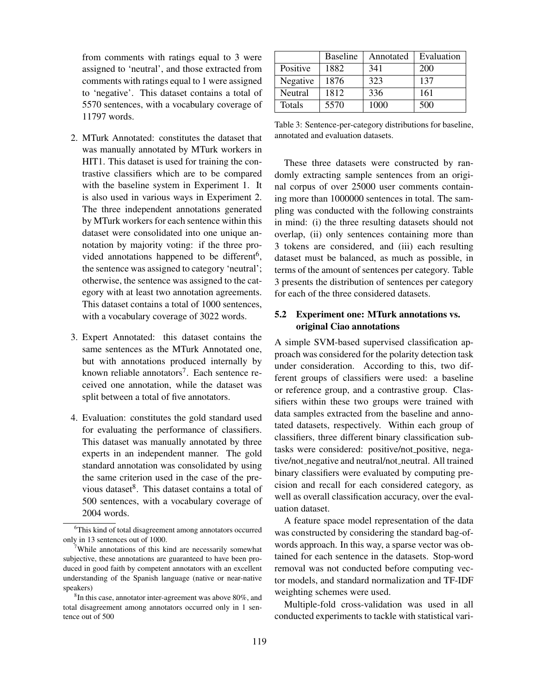from comments with ratings equal to 3 were assigned to 'neutral', and those extracted from comments with ratings equal to 1 were assigned to 'negative'. This dataset contains a total of 5570 sentences, with a vocabulary coverage of 11797 words.

- 2. MTurk Annotated: constitutes the dataset that was manually annotated by MTurk workers in HIT1. This dataset is used for training the contrastive classifiers which are to be compared with the baseline system in Experiment 1. It is also used in various ways in Experiment 2. The three independent annotations generated by MTurk workers for each sentence within this dataset were consolidated into one unique annotation by majority voting: if the three provided annotations happened to be different<sup>6</sup>, the sentence was assigned to category 'neutral'; otherwise, the sentence was assigned to the category with at least two annotation agreements. This dataset contains a total of 1000 sentences, with a vocabulary coverage of 3022 words.
- 3. Expert Annotated: this dataset contains the same sentences as the MTurk Annotated one, but with annotations produced internally by known reliable annotators<sup>7</sup>. Each sentence received one annotation, while the dataset was split between a total of five annotators.
- 4. Evaluation: constitutes the gold standard used for evaluating the performance of classifiers. This dataset was manually annotated by three experts in an independent manner. The gold standard annotation was consolidated by using the same criterion used in the case of the previous dataset<sup>8</sup>. This dataset contains a total of 500 sentences, with a vocabulary coverage of 2004 words.

|               | <b>Baseline</b> | Annotated | Evaluation |
|---------------|-----------------|-----------|------------|
| Positive      | 1882            | 341       | 200        |
| Negative      | 1876            | 323       | 137        |
| Neutral       | 1812            | 336       | 161        |
| <b>Totals</b> | 5570            | 1000      | 500        |

Table 3: Sentence-per-category distributions for baseline, annotated and evaluation datasets.

These three datasets were constructed by randomly extracting sample sentences from an original corpus of over 25000 user comments containing more than 1000000 sentences in total. The sampling was conducted with the following constraints in mind: (i) the three resulting datasets should not overlap, (ii) only sentences containing more than 3 tokens are considered, and (iii) each resulting dataset must be balanced, as much as possible, in terms of the amount of sentences per category. Table 3 presents the distribution of sentences per category for each of the three considered datasets.

# 5.2 Experiment one: MTurk annotations vs. original Ciao annotations

A simple SVM-based supervised classification approach was considered for the polarity detection task under consideration. According to this, two different groups of classifiers were used: a baseline or reference group, and a contrastive group. Classifiers within these two groups were trained with data samples extracted from the baseline and annotated datasets, respectively. Within each group of classifiers, three different binary classification subtasks were considered: positive/not positive, negative/not negative and neutral/not neutral. All trained binary classifiers were evaluated by computing precision and recall for each considered category, as well as overall classification accuracy, over the evaluation dataset.

A feature space model representation of the data was constructed by considering the standard bag-ofwords approach. In this way, a sparse vector was obtained for each sentence in the datasets. Stop-word removal was not conducted before computing vector models, and standard normalization and TF-IDF weighting schemes were used.

Multiple-fold cross-validation was used in all conducted experiments to tackle with statistical vari-

<sup>6</sup>This kind of total disagreement among annotators occurred only in 13 sentences out of 1000.

<sup>7</sup>While annotations of this kind are necessarily somewhat subjective, these annotations are guaranteed to have been produced in good faith by competent annotators with an excellent understanding of the Spanish language (native or near-native speakers)

 ${}^{8}$ In this case, annotator inter-agreement was above 80%, and total disagreement among annotators occurred only in 1 sentence out of 500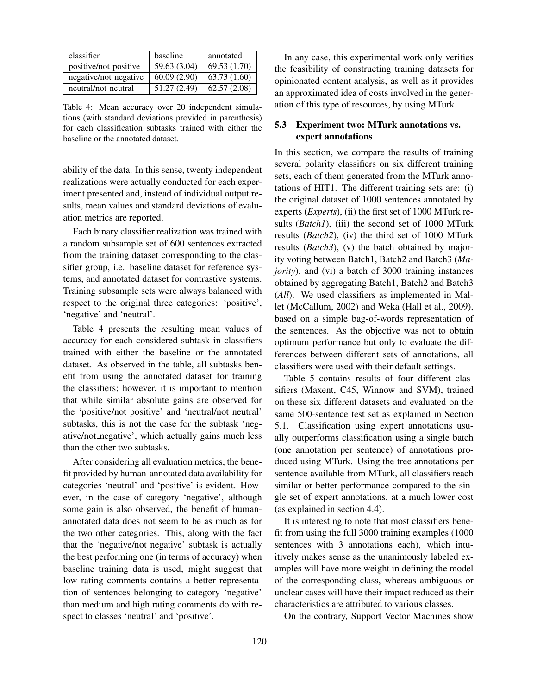| classifier            | baseline     | annotated    |
|-----------------------|--------------|--------------|
| positive/not_positive | 59.63 (3.04) | 69.53 (1.70) |
| negative/not_negative | 60.09(2.90)  | 63.73(1.60)  |
| neutral/not_neutral   | 51.27(2.49)  | 62.57(2.08)  |

Table 4: Mean accuracy over 20 independent simulations (with standard deviations provided in parenthesis) for each classification subtasks trained with either the baseline or the annotated dataset.

ability of the data. In this sense, twenty independent realizations were actually conducted for each experiment presented and, instead of individual output results, mean values and standard deviations of evaluation metrics are reported.

Each binary classifier realization was trained with a random subsample set of 600 sentences extracted from the training dataset corresponding to the classifier group, i.e. baseline dataset for reference systems, and annotated dataset for contrastive systems. Training subsample sets were always balanced with respect to the original three categories: 'positive', 'negative' and 'neutral'.

Table 4 presents the resulting mean values of accuracy for each considered subtask in classifiers trained with either the baseline or the annotated dataset. As observed in the table, all subtasks benefit from using the annotated dataset for training the classifiers; however, it is important to mention that while similar absolute gains are observed for the 'positive/not positive' and 'neutral/not neutral' subtasks, this is not the case for the subtask 'negative/not negative', which actually gains much less than the other two subtasks.

After considering all evaluation metrics, the benefit provided by human-annotated data availability for categories 'neutral' and 'positive' is evident. However, in the case of category 'negative', although some gain is also observed, the benefit of humanannotated data does not seem to be as much as for the two other categories. This, along with the fact that the 'negative/not negative' subtask is actually the best performing one (in terms of accuracy) when baseline training data is used, might suggest that low rating comments contains a better representation of sentences belonging to category 'negative' than medium and high rating comments do with respect to classes 'neutral' and 'positive'.

In any case, this experimental work only verifies the feasibility of constructing training datasets for opinionated content analysis, as well as it provides an approximated idea of costs involved in the generation of this type of resources, by using MTurk.

## 5.3 Experiment two: MTurk annotations vs. expert annotations

In this section, we compare the results of training several polarity classifiers on six different training sets, each of them generated from the MTurk annotations of HIT1. The different training sets are: (i) the original dataset of 1000 sentences annotated by experts (*Experts*), (ii) the first set of 1000 MTurk results (*Batch1*), (iii) the second set of 1000 MTurk results (*Batch2*), (iv) the third set of 1000 MTurk results (*Batch3*), (v) the batch obtained by majority voting between Batch1, Batch2 and Batch3 (*Majority*), and (vi) a batch of 3000 training instances obtained by aggregating Batch1, Batch2 and Batch3 (*All*). We used classifiers as implemented in Mallet (McCallum, 2002) and Weka (Hall et al., 2009), based on a simple bag-of-words representation of the sentences. As the objective was not to obtain optimum performance but only to evaluate the differences between different sets of annotations, all classifiers were used with their default settings.

Table 5 contains results of four different classifiers (Maxent, C45, Winnow and SVM), trained on these six different datasets and evaluated on the same 500-sentence test set as explained in Section 5.1. Classification using expert annotations usually outperforms classification using a single batch (one annotation per sentence) of annotations produced using MTurk. Using the tree annotations per sentence available from MTurk, all classifiers reach similar or better performance compared to the single set of expert annotations, at a much lower cost (as explained in section 4.4).

It is interesting to note that most classifiers benefit from using the full 3000 training examples (1000 sentences with 3 annotations each), which intuitively makes sense as the unanimously labeled examples will have more weight in defining the model of the corresponding class, whereas ambiguous or unclear cases will have their impact reduced as their characteristics are attributed to various classes.

On the contrary, Support Vector Machines show